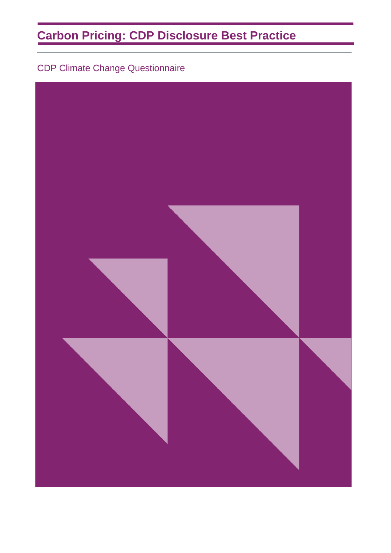# **Carbon Pricing: CDP Disclosure Best Practice**

CDP Climate Change Questionnaire

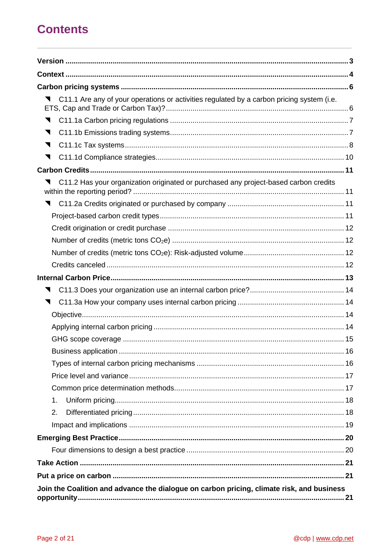# **Contents**

| C11.1 Are any of your operations or activities regulated by a carbon pricing system (i.e. |
|-------------------------------------------------------------------------------------------|
|                                                                                           |
| ◥                                                                                         |
| ◥                                                                                         |
| ◥                                                                                         |
|                                                                                           |
| C11.2 Has your organization originated or purchased any project-based carbon credits      |
|                                                                                           |
|                                                                                           |
|                                                                                           |
|                                                                                           |
|                                                                                           |
|                                                                                           |
|                                                                                           |
|                                                                                           |
|                                                                                           |
|                                                                                           |
|                                                                                           |
|                                                                                           |
|                                                                                           |
|                                                                                           |
|                                                                                           |
|                                                                                           |
| 1.                                                                                        |
| 2.                                                                                        |
|                                                                                           |
|                                                                                           |
|                                                                                           |
|                                                                                           |
|                                                                                           |
| Join the Coalition and advance the dialogue on carbon pricing, climate risk, and business |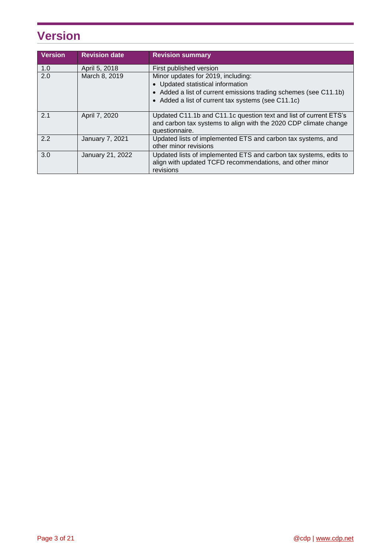# <span id="page-2-0"></span>**Version**

| <b>Version</b> | <b>Revision date</b> | <b>Revision summary</b>                                                                                                                                 |  |
|----------------|----------------------|---------------------------------------------------------------------------------------------------------------------------------------------------------|--|
| 1.0            | April 5, 2018        | First published version                                                                                                                                 |  |
| 2.0            | March 8, 2019        | Minor updates for 2019, including:                                                                                                                      |  |
|                |                      | • Updated statistical information                                                                                                                       |  |
|                |                      | • Added a list of current emissions trading schemes (see C11.1b)                                                                                        |  |
|                |                      | • Added a list of current tax systems (see C11.1c)                                                                                                      |  |
| 2.1            | April 7, 2020        | Updated C11.1b and C11.1c question text and list of current ETS's<br>and carbon tax systems to align with the 2020 CDP climate change<br>questionnaire. |  |
| 2.2            | January 7, 2021      | Updated lists of implemented ETS and carbon tax systems, and<br>other minor revisions                                                                   |  |
| 3.0            | January 21, 2022     | Updated lists of implemented ETS and carbon tax systems, edits to<br>align with updated TCFD recommendations, and other minor<br>revisions              |  |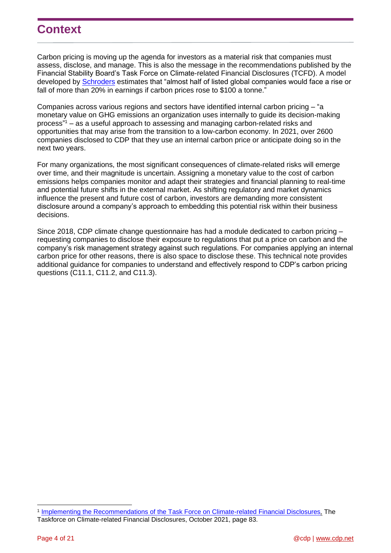## <span id="page-3-0"></span>**Context**

Carbon pricing is moving up the agenda for investors as a material risk that companies must assess, disclose, and manage. This is also the message in the recommendations published by the Financial Stability Board's Task Force on Climate-related Financial Disclosures (TCFD). A model developed by **Schroders** estimates that "almost half of listed global companies would face a rise or fall of more than 20% in earnings if carbon prices rose to \$100 a tonne."

Companies across various regions and sectors have identified internal carbon pricing – "a monetary value on GHG emissions an organization uses internally to guide its decision-making process" <sup>1</sup> – as a useful approach to assessing and managing carbon-related risks and opportunities that may arise from the transition to a low-carbon economy. In 2021, over 2600 companies disclosed to CDP that they use an internal carbon price or anticipate doing so in the next two years.

For many organizations, the most significant consequences of climate-related risks will emerge over time, and their magnitude is uncertain. Assigning a monetary value to the cost of carbon emissions helps companies monitor and adapt their strategies and financial planning to real-time and potential future shifts in the external market. As shifting regulatory and market dynamics influence the present and future cost of carbon, investors are demanding more consistent disclosure around a company's approach to embedding this potential risk within their business decisions.

Since 2018, CDP climate change questionnaire has had a module dedicated to carbon pricing – requesting companies to disclose their exposure to regulations that put a price on carbon and the company's risk management strategy against such regulations. For companies applying an internal carbon price for other reasons, there is also space to disclose these. This technical note provides additional guidance for companies to understand and effectively respond to CDP's carbon pricing questions (C11.1, C11.2, and C11.3).

<sup>1</sup> [Implementing the Recommendations of the Task Force on Climate-related Financial Disclosures](https://assets.bbhub.io/company/sites/60/2021/07/2021-TCFD-Implementing_Guidance.pdf)*,* The Taskforce on Climate-related Financial Disclosures, October 2021, page 83.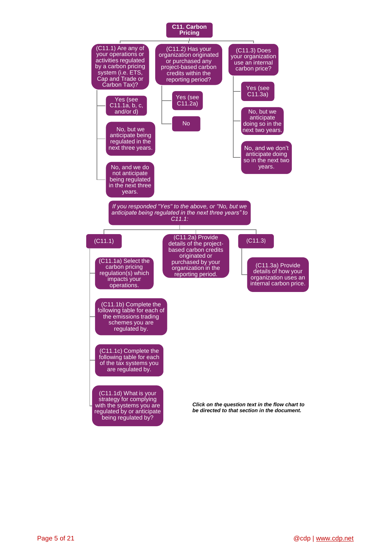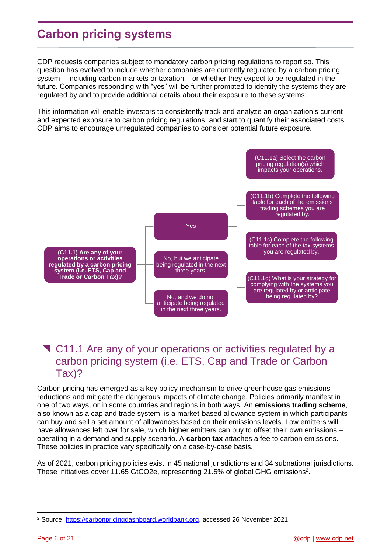# <span id="page-5-0"></span>**Carbon pricing systems**

CDP requests companies subject to mandatory carbon pricing regulations to report so. This question has evolved to include whether companies are currently regulated by a carbon pricing system – including carbon markets or taxation – or whether they expect to be regulated in the future. Companies responding with "yes" will be further prompted to identify the systems they are regulated by and to provide additional details about their exposure to these systems.

This information will enable investors to consistently track and analyze an organization's current and expected exposure to carbon pricing regulations, and start to quantify their associated costs. CDP aims to encourage unregulated companies to consider potential future exposure.



## <span id="page-5-1"></span>**T** C11.1 Are any of your operations or activities regulated by a carbon pricing system (i.e. ETS, Cap and Trade or Carbon Tax)?

Carbon pricing has emerged as a key policy mechanism to drive greenhouse gas emissions reductions and mitigate the dangerous impacts of climate change. Policies primarily manifest in one of two ways, or in some countries and regions in both ways. An **emissions trading scheme**, also known as a cap and trade system, is a market-based allowance system in which participants can buy and sell a set amount of allowances based on their emissions levels. Low emitters will have allowances left over for sale, which higher emitters can buy to offset their own emissions – operating in a demand and supply scenario. A **carbon tax** attaches a fee to carbon emissions. These policies in practice vary specifically on a case-by-case basis.

As of 2021, carbon pricing policies exist in 45 national jurisdictions and 34 subnational jurisdictions. These initiatives cover 11.65 GtCO2e, representing 21.5% of global GHG emissions<sup>2</sup>.

<sup>2</sup> Source: [https://carbonpricingdashboard.worldbank.org,](https://carbonpricingdashboard.worldbank.org/) accessed 26 November 2021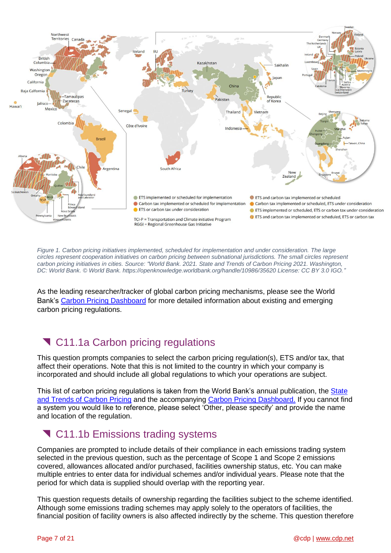

*Figure 1. Carbon pricing initiatives implemented, scheduled for implementation and under consideration. The large circles represent cooperation initiatives on carbon pricing between subnational jurisdictions. The small circles represent carbon pricing initiatives in cities. Source: "World Bank. 2021. State and Trends of Carbon Pricing 2021. Washington, DC: World Bank. © World Bank. https://openknowledge.worldbank.org/handle/10986/35620 License: CC BY 3.0 IGO."*

As the leading researcher/tracker of global carbon pricing mechanisms, please see the World Bank's [Carbon Pricing Dashboard](http://carbonpricingdashboard.worldbank.org/) for more detailed information about existing and emerging carbon pricing regulations.

# <span id="page-6-0"></span>**T** C11.1a Carbon pricing regulations

This question prompts companies to select the carbon pricing regulation(s), ETS and/or tax, that affect their operations. Note that this is not limited to the country in which your company is incorporated and should include all global regulations to which your operations are subject.

This list of carbon pricing regulations is taken from the World Bank's annual publication, the State [and Trends of Carbon Pricing](https://openknowledge.worldbank.org/handle/10986/35620) and the accompanying [Carbon Pricing Dashboard.](http://carbonpricingdashboard.worldbank.org/) If you cannot find a system you would like to reference, please select 'Other, please specify' and provide the name and location of the regulation.

## <span id="page-6-1"></span>**T** C11.1b Emissions trading systems

Companies are prompted to include details of their compliance in each emissions trading system selected in the previous question, such as the percentage of Scope 1 and Scope 2 emissions covered, allowances allocated and/or purchased, facilities ownership status, etc. You can make multiple entries to enter data for individual schemes and/or individual years. Please note that the period for which data is supplied should overlap with the reporting year.

This question requests details of ownership regarding the facilities subject to the scheme identified. Although some emissions trading schemes may apply solely to the operators of facilities, the financial position of facility owners is also affected indirectly by the scheme. This question therefore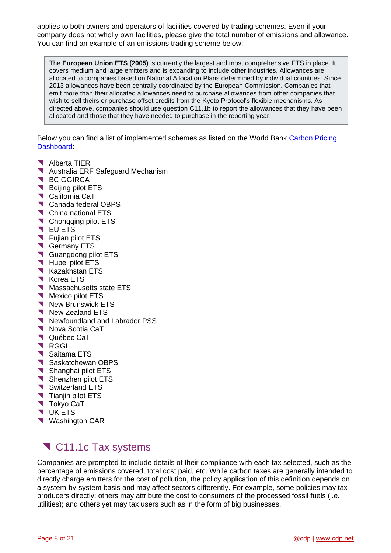applies to both owners and operators of facilities covered by trading schemes. Even if your company does not wholly own facilities, please give the total number of emissions and allowance. You can find an example of an emissions trading scheme below:

The **European Union ETS (2005)** is currently the largest and most comprehensive ETS in place. It covers medium and large emitters and is expanding to include other industries. Allowances are allocated to companies based on National Allocation Plans determined by individual countries. Since 2013 allowances have been centrally coordinated by the European Commission. Companies that emit more than their allocated allowances need to purchase allowances from other companies that wish to sell theirs or purchase offset credits from the Kyoto Protocol's flexible mechanisms. As directed above, companies should use question C11.1b to report the allowances that they have been allocated and those that they have needed to purchase in the reporting year.

Below you can find a list of implemented schemes as listed on the World Bank Carbon Pricing [Dashboard:](http://carbonpricingdashboard.worldbank.org/)

- Alberta TIER
- Australia ERF Safeguard Mechanism
- **N** BC GGIRCA
- Beijing pilot ETS
- **California CaT**
- Canada federal OBPS
- **T** China national ETS
- Chongqing pilot ETS
- **T** EU ETS
- **T** Fujian pilot ETS
- Germany ETS
- Guangdong pilot ETS
- Hubei pilot ETS
- Kazakhstan ETS
- Korea ETS
- Massachusetts state ETS
- Mexico pilot ETS
- New Brunswick ETS
- New Zealand ETS
- Newfoundland and Labrador PSS
- Nova Scotia CaT
- **V** Québec CaT
- RGGI
- Saitama ETS
- Saskatchewan OBPS
- Shanghai pilot ETS
- **Shenzhen pilot ETS**
- Switzerland ETS
- **Tianjin pilot ETS**
- **T** Tokyo CaT
- **V** UK ETS
- <span id="page-7-1"></span>**Washington CAR**

## <span id="page-7-0"></span>C11.1c Tax systems

Companies are prompted to include details of their compliance with each tax selected, such as the percentage of emissions covered, total cost paid, etc. While carbon taxes are generally intended to directly charge emitters for the cost of pollution, the policy application of this definition depends on a system-by-system basis and may affect sectors differently. For example, some policies may tax producers directly; others may attribute the cost to consumers of the processed fossil fuels (i.e. utilities); and others yet may tax users such as in the form of big businesses.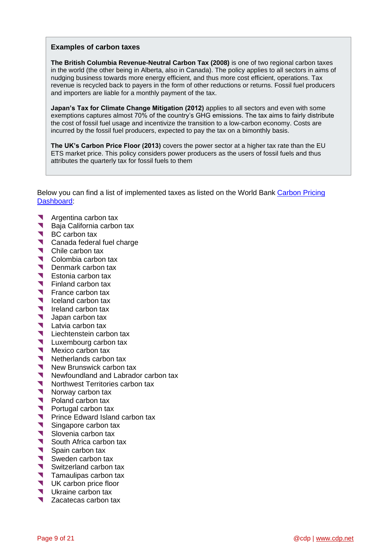#### **Examples of carbon taxes**

**The British Columbia Revenue-Neutral Carbon Tax (2008)** is one of two regional carbon taxes in the world (the other being in Alberta, also in Canada). The policy applies to all sectors in aims of nudging business towards more energy efficient, and thus more cost efficient, operations. Tax revenue is recycled back to payers in the form of other reductions or returns. Fossil fuel producers and importers are liable for a monthly payment of the tax.

**Japan's Tax for Climate Change Mitigation (2012)** applies to all sectors and even with some exemptions captures almost 70% of the country's GHG emissions. The tax aims to fairly distribute the cost of fossil fuel usage and incentivize the transition to a low-carbon economy. Costs are incurred by the fossil fuel producers, expected to pay the tax on a bimonthly basis.

**The UK's Carbon Price Floor (2013)** covers the power sector at a higher tax rate than the EU ETS market price. This policy considers power producers as the users of fossil fuels and thus attributes the quarterly tax for fossil fuels to them

Below you can find a list of implemented taxes as listed on the World Bank [Carbon Pricing](http://carbonpricingdashboard.worldbank.org/)  [Dashboard:](http://carbonpricingdashboard.worldbank.org/)

- **Argentina carbon tax**<br>**Baia California carbon**
- Baja California carbon tax
- BC carbon tax
- Canada federal fuel charge
- Chile carbon tax
- Colombia carbon tax<br>
Denmark carbon tax
- Denmark carbon tax
- Substitution is Estonia carbon tax<br>Substitution tax
- Finland carbon tax<br>France carbon tax
- France carbon tax
- **Iceland carbon tax**
- Ireland carbon tax<br>Ianan carbon tax
- Japan carbon tax
- Latvia carbon tax<br>Liechtenstein carb
- University Carbon tax<br>
University Carbon tax
- Uuxembourg carbon tax
- Mexico carbon tax<br>Metherlands carbo
- Netherlands carbon tax
- New Brunswick carbon tax
- Newfoundland and Labrador carbon tax
- Northwest Territories carbon tax<br>Norway carbon tax
- Norway carbon tax<br>Poland carbon tax
- Poland carbon tax
- **Portugal carbon tax**<br>Prince Edward Islan
- Prince Edward Island carbon tax
- Singapore carbon tax
- Slovenia carbon tax<br>South Africa carbon
- South Africa carbon tax
- Spain carbon tax
- Sweden carbon tax<br>Switzerland carbon
- Switzerland carbon tax
- **Tamaulipas carbon tax**
- UK carbon price floor
- Ukraine carbon tax
- <span id="page-8-0"></span>Zacatecas carbon tax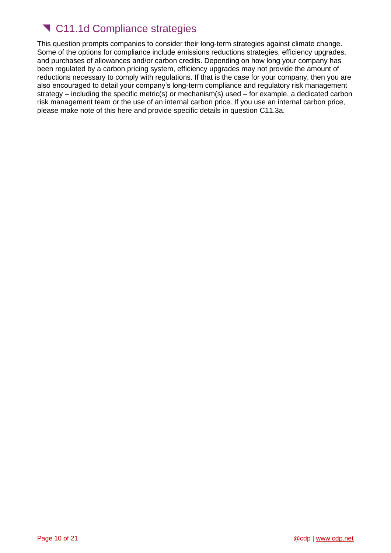# <span id="page-9-0"></span>**T** C11.1d Compliance strategies

This question prompts companies to consider their long-term strategies against climate change. Some of the options for compliance include emissions reductions strategies, efficiency upgrades, and purchases of allowances and/or carbon credits. Depending on how long your company has been regulated by a carbon pricing system, efficiency upgrades may not provide the amount of reductions necessary to comply with regulations. If that is the case for your company, then you are also encouraged to detail your company's long-term compliance and regulatory risk management strategy – including the specific metric(s) or mechanism(s) used – for example, a dedicated carbon risk management team or the use of an internal carbon price. If you use an internal carbon price, please make note of this here and provide specific details in question C11.3a.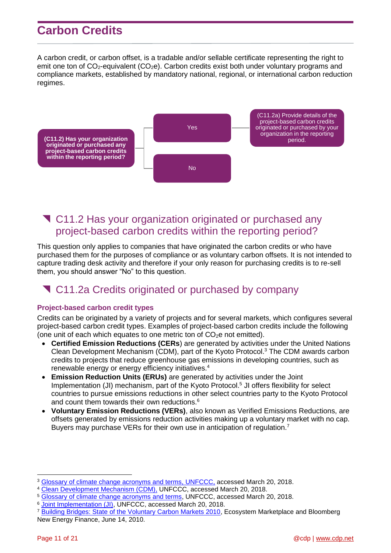# <span id="page-10-0"></span>**Carbon Credits**

A carbon credit, or carbon offset, is a tradable and/or sellable certificate representing the right to emit one ton of  $CO<sub>2</sub>$ -equivalent (CO<sub>2</sub>e). Carbon credits exist both under voluntary programs and compliance markets, established by mandatory national, regional, or international carbon reduction regimes.



## <span id="page-10-1"></span> C11.2 Has your organization originated or purchased any project-based carbon credits within the reporting period?

This question only applies to companies that have originated the carbon credits or who have purchased them for the purposes of compliance or as voluntary carbon offsets. It is not intended to capture trading desk activity and therefore if your only reason for purchasing credits is to re-sell them, you should answer "No" to this question.

## <span id="page-10-2"></span>C11.2a Credits originated or purchased by company

### <span id="page-10-3"></span>**Project-based carbon credit types**

Credits can be originated by a variety of projects and for several markets, which configures several project-based carbon credit types. Examples of project-based carbon credits include the following (one unit of each which equates to one metric ton of  $CO<sub>2</sub>e$  not emitted).

- **Certified Emission Reductions (CERs**) are generated by activities under the United Nations Clean Development Mechanism (CDM), part of the Kyoto Protocol. <sup>3</sup> The CDM awards carbon credits to projects that reduce greenhouse gas emissions in developing countries, such as renewable energy or energy efficiency initiatives. 4
- **Emission Reduction Units (ERUs)** are generated by activities under the Joint Implementation (JI) mechanism, part of the Kyoto Protocol.<sup>5</sup> JI offers flexibility for select countries to pursue emissions reductions in other select countries party to the Kyoto Protocol and count them towards their own reductions.<sup>6</sup>
- **Voluntary Emission Reductions (VERs)**, also known as Verified Emissions Reductions, are offsets generated by emissions reduction activities making up a voluntary market with no cap. Buyers may purchase VERs for their own use in anticipation of regulation.<sup>7</sup>

<sup>3</sup> [Glossary of climate change acronyms and terms,](https://unfccc.int/process-and-meetings/the-convention/glossary-of-climate-change-acronyms-and-terms) UNFCCC, accessed March 20, 2018.

<sup>4</sup> [Clean Development Mechanism \(CDM\),](http://unfccc.int/kyoto_protocol/mechanisms/clean_development_mechanism/items/2718.php) UNFCCC, accessed March 20, 2018.

<sup>&</sup>lt;sup>5</sup> [Glossary of climate change acronyms and terms,](https://unfccc.int/process-and-meetings/the-convention/glossary-of-climate-change-acronyms-and-terms) UNFCCC, accessed March 20, 2018.

<sup>&</sup>lt;sup>6</sup> [Joint Implementation \(JI\),](http://unfccc.int/kyoto_protocol/mechanisms/joint_implementation/items/1674.php) UNFCCC, accessed March 20, 2018.

<sup>7</sup> [Building Bridges: State of the Voluntary Carbon Markets 2010,](https://about.bnef.com/blog/state-of-the-voluntary-carbon-markets-2010-building-bridges/) Ecosystem Marketplace and Bloomberg New Energy Finance, June 14, 2010.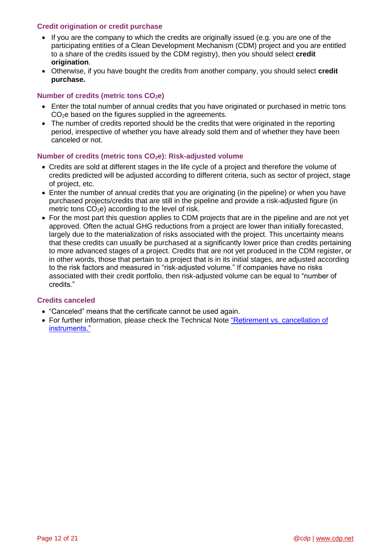### <span id="page-11-0"></span>**Credit origination or credit purchase**

- If you are the company to which the credits are originally issued (e.g. you are one of the participating entities of a Clean Development Mechanism (CDM) project and you are entitled to a share of the credits issued by the CDM registry), then you should select **credit origination**.
- Otherwise, if you have bought the credits from another company, you should select **credit purchase.**

### <span id="page-11-1"></span>**Number of credits (metric tons CO2e)**

- Enter the total number of annual credits that you have originated or purchased in metric tons CO<sub>2</sub>e based on the figures supplied in the agreements.
- The number of credits reported should be the credits that were originated in the reporting period, irrespective of whether you have already sold them and of whether they have been canceled or not.

#### <span id="page-11-2"></span>**Number of credits (metric tons CO2e): Risk-adjusted volume**

- Credits are sold at different stages in the life cycle of a project and therefore the volume of credits predicted will be adjusted according to different criteria, such as sector of project, stage of project, etc.
- Enter the number of annual credits that you are originating (in the pipeline) or when you have purchased projects/credits that are still in the pipeline and provide a risk-adjusted figure (in metric tons  $CO<sub>2</sub>e$ ) according to the level of risk.
- For the most part this question applies to CDM projects that are in the pipeline and are not yet approved. Often the actual GHG reductions from a project are lower than initially forecasted, largely due to the materialization of risks associated with the project. This uncertainty means that these credits can usually be purchased at a significantly lower price than credits pertaining to more advanced stages of a project. Credits that are not yet produced in the CDM register, or in other words, those that pertain to a project that is in its initial stages, are adjusted according to the risk factors and measured in "risk-adjusted volume." If companies have no risks associated with their credit portfolio, then risk-adjusted volume can be equal to "number of credits."

#### <span id="page-11-3"></span>**Credits canceled**

- "Canceled" means that the certificate cannot be used again.
- For further information, please check the Technical Note ["Retirement vs.](https://cdn.cdp.net/cdp-production/cms/guidance_docs/pdfs/000/000/471/original/CDP-Retirement-vs-cancellation-of-instruments.pdf?1617879511) cancellation of [instruments."](https://cdn.cdp.net/cdp-production/cms/guidance_docs/pdfs/000/000/471/original/CDP-Retirement-vs-cancellation-of-instruments.pdf?1617879511)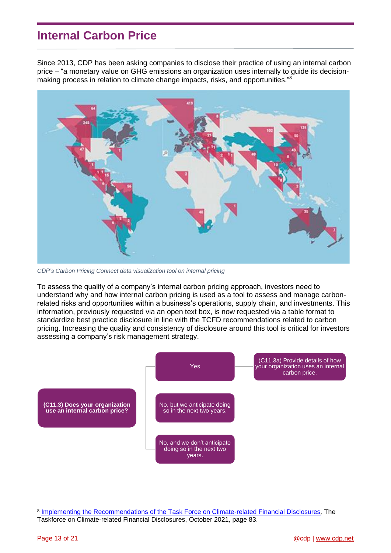## <span id="page-12-0"></span>**Internal Carbon Price**

Since 2013, CDP has been asking companies to disclose their practice of using an internal carbon price – "a monetary value on GHG emissions an organization uses internally to guide its decisionmaking process in relation to climate change impacts, risks, and opportunities."<sup>8</sup>



*CDP's [Carbon Pricing Connect](https://www.cdp.net/en/climate/carbon-pricing/carbon-pricing-connect) data visualization tool on internal pricing* 

To assess the quality of a company's internal carbon pricing approach, investors need to understand why and how internal carbon pricing is used as a tool to assess and manage carbonrelated risks and opportunities within a business's operations, supply chain, and investments. This information, previously requested via an open text box, is now requested via a table format to standardize best practice disclosure in line with the TCFD recommendations related to carbon pricing. Increasing the quality and consistency of disclosure around this tool is critical for investors assessing a company's risk management strategy.



<sup>8</sup> [Implementing the Recommendations of the Task Force on Climate-related](https://assets.bbhub.io/company/sites/60/2021/07/2021-TCFD-Implementing_Guidance.pdf) Financial Disclosures*,* The Taskforce on Climate-related Financial Disclosures, October 2021, page 83.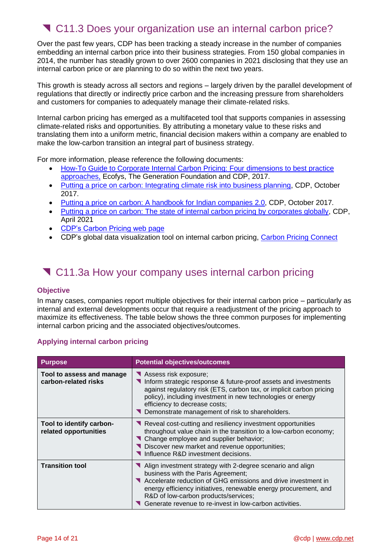## <span id="page-13-0"></span>C11.3 Does your organization use an internal carbon price?

Over the past few years, CDP has been tracking a steady increase in the number of companies embedding an internal carbon price into their business strategies. From 150 global companies in 2014, the number has steadily grown to over 2600 companies in 2021 disclosing that they use an internal carbon price or are planning to do so within the next two years.

This growth is steady across all sectors and regions – largely driven by the parallel development of regulations that directly or indirectly price carbon and the increasing pressure from shareholders and customers for companies to adequately manage their climate-related risks.

Internal carbon pricing has emerged as a multifaceted tool that supports companies in assessing climate-related risks and opportunities. By attributing a monetary value to these risks and translating them into a uniform metric, financial decision makers within a company are enabled to make the low-carbon transition an integral part of business strategy.

For more information, please reference the following documents:

- [How-To Guide to Corporate Internal Carbon Pricing: Four](https://www.cdp.net/en/reports/downloads/2740) dimensions to best practice [approaches,](https://www.cdp.net/en/reports/downloads/2740) Ecofys, The Generation Foundation and CDP, 2017.
- [Putting a price on carbon: Integrating climate risk into business planning,](https://www.cdp.net/en/reports/downloads/2738) CDP, October 2017.
- [Putting a price on carbon: A handbook for Indian companies](https://www.cdp.net/en/reports/downloads/4918) 2.0, CDP, October 2017.
- [Putting a price on carbon: The state of internal carbon pricing by corporates globally,](https://www.cdp.net/en/reports/downloads/5651) CDP, April 2021
- [CDP's Carbon Pricing web page](https://www.cdp.net/en/climate/carbon-pricing)
- CDP's global data visualization tool on internal carbon pricing, [Carbon Pricing Connect](https://www.cdp.net/en/climate/carbon-pricing/carbon-pricing-connect)

## <span id="page-13-1"></span>C11.3a How your company uses internal carbon pricing

#### <span id="page-13-2"></span>**Objective**

In many cases, companies report multiple objectives for their internal carbon price – particularly as internal and external developments occur that require a readjustment of the pricing approach to maximize its effectiveness. The table below shows the three common purposes for implementing internal carbon pricing and the associated objectives/outcomes.

### <span id="page-13-3"></span>**Applying internal carbon pricing**

| <b>Purpose</b>                                    | <b>Potential objectives/outcomes</b>                                                                                                                                                                                                                                                                                                     |
|---------------------------------------------------|------------------------------------------------------------------------------------------------------------------------------------------------------------------------------------------------------------------------------------------------------------------------------------------------------------------------------------------|
| Tool to assess and manage<br>carbon-related risks | Assess risk exposure;<br>Inform strategic response & future-proof assets and investments<br>against regulatory risk (ETS, carbon tax, or implicit carbon pricing<br>policy), including investment in new technologies or energy<br>efficiency to decrease costs;<br>Demonstrate management of risk to shareholders.                      |
| Tool to identify carbon-<br>related opportunities | Reveal cost-cutting and resiliency investment opportunities<br>throughout value chain in the transition to a low-carbon economy;<br>Change employee and supplier behavior;<br>Discover new market and revenue opportunities;<br>Influence R&D investment decisions.                                                                      |
| <b>Transition tool</b>                            | Align investment strategy with 2-degree scenario and align<br>business with the Paris Agreement;<br>Accelerate reduction of GHG emissions and drive investment in<br>energy efficiency initiatives, renewable energy procurement, and<br>R&D of low-carbon products/services;<br>Generate revenue to re-invest in low-carbon activities. |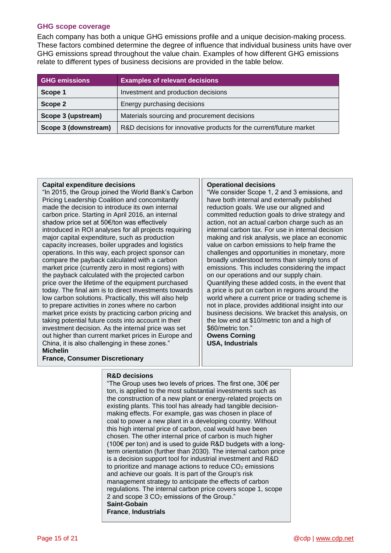#### <span id="page-14-0"></span>**GHG scope coverage**

Each company has both a unique GHG emissions profile and a unique decision-making process. These factors combined determine the degree of influence that individual business units have over GHG emissions spread throughout the value chain. Examples of how different GHG emissions relate to different types of business decisions are provided in the table below.

| <b>GHG emissions</b> | <b>Examples of relevant decisions</b>                               |  |
|----------------------|---------------------------------------------------------------------|--|
| Scope 1              | Investment and production decisions                                 |  |
| Scope 2              | Energy purchasing decisions                                         |  |
| Scope 3 (upstream)   | Materials sourcing and procurement decisions                        |  |
| Scope 3 (downstream) | R&D decisions for innovative products for the current/future market |  |

#### **Capital expenditure decisions**

"In 2015, the Group joined the World Bank's Carbon Pricing Leadership Coalition and concomitantly made the decision to introduce its own internal carbon price. Starting in April 2016, an internal shadow price set at 50€/ton was effectively introduced in ROI analyses for all projects requiring major capital expenditure, such as production capacity increases, boiler upgrades and logistics operations. In this way, each project sponsor can compare the payback calculated with a carbon market price (currently zero in most regions) with the payback calculated with the projected carbon price over the lifetime of the equipment purchased today. The final aim is to direct investments towards low carbon solutions. Practically, this will also help to prepare activities in zones where no carbon market price exists by practicing carbon pricing and taking potential future costs into account in their investment decision. As the internal price was set out higher than current market prices in Europe and China, it is also challenging in these zones." **Michelin**

#### **Operational decisions**

"We consider Scope 1, 2 and 3 emissions, and have both internal and externally published reduction goals. We use our aligned and committed reduction goals to drive strategy and action, not an actual carbon charge such as an internal carbon tax. For use in internal decision making and risk analysis, we place an economic value on carbon emissions to help frame the challenges and opportunities in monetary, more broadly understood terms than simply tons of emissions. This includes considering the impact on our operations and our supply chain. Quantifying these added costs, in the event that a price is put on carbon in regions around the world where a current price or trading scheme is not in place, provides additional insight into our business decisions. We bracket this analysis, on the low end at \$10/metric ton and a high of \$60/metric ton."

**Owens Corning USA, Industrials**

#### **R&D decisions**

**France, Consumer Discretionary**

"The Group uses two levels of prices. The first one, 30€ per ton, is applied to the most substantial investments such as the construction of a new plant or energy-related projects on existing plants. This tool has already had tangible decisionmaking effects. For example, gas was chosen in place of coal to power a new plant in a developing country. Without this high internal price of carbon, coal would have been chosen. The other internal price of carbon is much higher (100€ per ton) and is used to guide R&D budgets with a longterm orientation (further than 2030). The internal carbon price is a decision support tool for industrial investment and R&D to prioritize and manage actions to reduce  $CO<sub>2</sub>$  emissions and achieve our goals. It is part of the Group's risk management strategy to anticipate the effects of carbon regulations. The internal carbon price covers scope 1, scope 2 and scope 3 CO<sub>2</sub> emissions of the Group." **Saint-Gobain France**, **Industrials**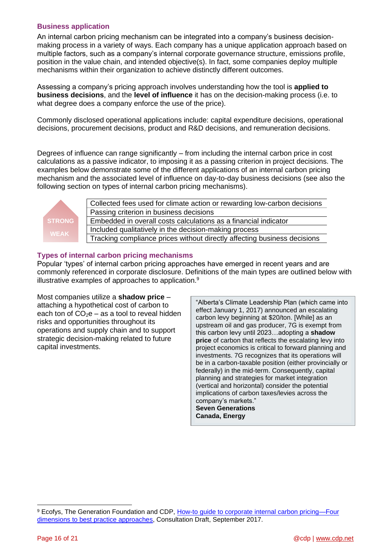### <span id="page-15-0"></span>**Business application**

An internal carbon pricing mechanism can be integrated into a company's business decisionmaking process in a variety of ways. Each company has a unique application approach based on multiple factors, such as a company's internal corporate governance structure, emissions profile, position in the value chain, and intended objective(s). In fact, some companies deploy multiple mechanisms within their organization to achieve distinctly different outcomes.

Assessing a company's pricing approach involves understanding how the tool is **applied to business decisions**, and the **level of influence** it has on the decision-making process (i.e. to what degree does a company enforce the use of the price).

Commonly disclosed operational applications include: capital expenditure decisions, operational decisions, procurement decisions, product and R&D decisions, and remuneration decisions.

Degrees of influence can range significantly – from including the internal carbon price in cost calculations as a passive indicator, to imposing it as a passing criterion in project decisions. The examples below demonstrate some of the different applications of an internal carbon pricing mechanism and the associated level of influence on day-to-day business decisions (see also the following section on types of internal carbon pricing mechanisms).



Collected fees used for climate action or rewarding low-carbon decisions Passing criterion in business decisions Embedded in overall costs calculations as a financial indicator Included qualitatively in the decision-making process Tracking compliance prices without directly affecting business decisions

### <span id="page-15-1"></span>**Types of internal carbon pricing mechanisms**

Popular 'types' of internal carbon pricing approaches have emerged in recent years and are commonly referenced in corporate disclosure. Definitions of the main types are outlined below with illustrative examples of approaches to application.<sup>9</sup>

Most companies utilize a **shadow price** – attaching a hypothetical cost of carbon to each ton of  $CO<sub>2</sub>e - as a tool to reveal hidden$ risks and opportunities throughout its operations and supply chain and to support strategic decision-making related to future capital investments.

"Alberta's Climate Leadership Plan (which came into effect January 1, 2017) announced an escalating carbon levy beginning at \$20/ton. [While] as an upstream oil and gas producer, 7G is exempt from this carbon levy until 2023…adopting a **shadow price** of carbon that reflects the escalating levy into project economics is critical to forward planning and investments. 7G recognizes that its operations will be in a carbon-taxable position (either provincially or federally) in the mid-term. Consequently, capital planning and strategies for market integration (vertical and horizontal) consider the potential implications of carbon taxes/levies across the company's markets." **Seven Generations**

**Canada, Energy**

<sup>9</sup> Ecofys, The Generation Foundation and CDP, [How-to guide to corporate internal carbon pricing—Four](https://www.cdp.net/en/reports/downloads/2740)  [dimensions to best practice approaches,](https://www.cdp.net/en/reports/downloads/2740) Consultation Draft, September 2017.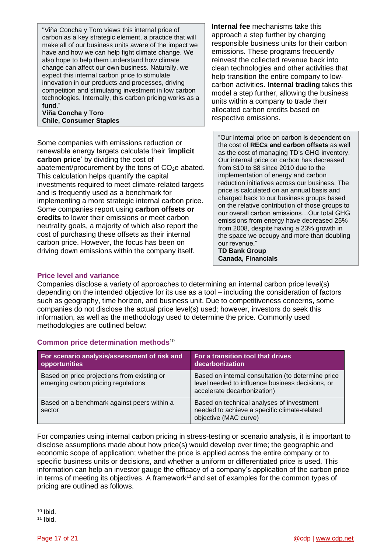"Viña Concha y Toro views this internal price of carbon as a key strategic element, a practice that will make all of our business units aware of the impact we have and how we can help fight climate change. We also hope to help them understand how climate change can affect our own business. Naturally, we expect this internal carbon price to stimulate innovation in our products and processes, driving competition and stimulating investment in low carbon technologies. Internally, this carbon pricing works as a **fund**."

**Viña Concha y Toro Chile, Consumer Staples**

Some companies with emissions reduction or renewable energy targets calculate their '**implicit carbon price**' by dividing the cost of abatement/procurement by the tons of  $CO<sub>2</sub>e$  abated. This calculation helps quantify the capital investments required to meet climate-related targets and is frequently used as a benchmark for implementing a more strategic internal carbon price. Some companies report using **carbon offsets or credits** to lower their emissions or meet carbon neutrality goals, a majority of which also report the cost of purchasing these offsets as their internal carbon price. However, the focus has been on driving down emissions within the company itself.

**Internal fee** mechanisms take this approach a step further by charging responsible business units for their carbon emissions. These programs frequently reinvest the collected revenue back into clean technologies and other activities that help transition the entire company to lowcarbon activities. **Internal trading** takes this model a step further, allowing the business units within a company to trade their allocated carbon credits based on respective emissions.

"Our internal price on carbon is dependent on the cost of **RECs and carbon offsets** as well as the cost of managing TD's GHG inventory. Our internal price on carbon has decreased from \$10 to \$8 since 2010 due to the implementation of energy and carbon reduction initiatives across our business. The price is calculated on an annual basis and charged back to our business groups based on the relative contribution of those groups to our overall carbon emissions…Our total GHG emissions from energy have decreased 25% from 2008, despite having a 23% growth in the space we occupy and more than doubling our revenue."

**TD Bank Group Canada, Financials**

#### <span id="page-16-0"></span>**Price level and variance**

Companies disclose a variety of approaches to determining an internal carbon price level(s) depending on the intended objective for its use as a tool – including the consideration of factors such as geography, time horizon, and business unit. Due to competitiveness concerns, some companies do not disclose the actual price level(s) used; however, investors do seek this information, as well as the methodology used to determine the price. Commonly used methodologies are outlined below:

### <span id="page-16-1"></span>**Common price determination methods**<sup>10</sup>

| For scenario analysis/assessment of risk and<br>opportunities                      | For a transition tool that drives<br>decarbonization                                                                                  |
|------------------------------------------------------------------------------------|---------------------------------------------------------------------------------------------------------------------------------------|
| Based on price projections from existing or<br>emerging carbon pricing regulations | Based on internal consultation (to determine price<br>level needed to influence business decisions, or<br>accelerate decarbonization) |
| Based on a benchmark against peers within a<br>sector                              | Based on technical analyses of investment<br>needed to achieve a specific climate-related<br>objective (MAC curve)                    |

For companies using internal carbon pricing in stress-testing or scenario analysis, it is important to disclose assumptions made about how price(s) would develop over time; the geographic and economic scope of application; whether the price is applied across the entire company or to specific business units or decisions, and whether a uniform or differentiated price is used. This information can help an investor gauge the efficacy of a company's application of the carbon price in terms of meeting its objectives. A framework<sup>11</sup> and set of examples for the common types of pricing are outlined as follows.

 $10$  Ibid.

 $11$  Ibid.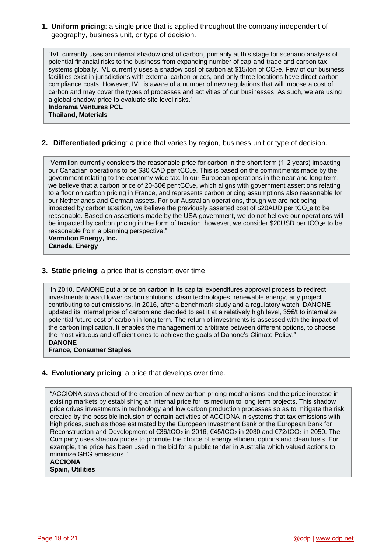<span id="page-17-0"></span>**1. Uniform pricing**: a single price that is applied throughout the company independent of geography, business unit, or type of decision.

"IVL currently uses an internal shadow cost of carbon, primarily at this stage for scenario analysis of potential financial risks to the business from expanding number of cap-and-trade and carbon tax systems globally. IVL currently uses a shadow cost of carbon at \$15/ton of CO<sub>2</sub>e. Few of our business facilities exist in jurisdictions with external carbon prices, and only three locations have direct carbon compliance costs. However, IVL is aware of a number of new regulations that will impose a cost of carbon and may cover the types of processes and activities of our businesses. As such, we are using a global shadow price to evaluate site level risks." **Indorama Ventures PCL**

**Thailand, Materials**

#### <span id="page-17-1"></span>**2. Differentiated pricing**: a price that varies by region, business unit or type of decision.

"Vermilion currently considers the reasonable price for carbon in the short term (1-2 years) impacting our Canadian operations to be \$30 CAD per tCO<sub>2</sub>e. This is based on the commitments made by the government relating to the economy wide tax. In our European operations in the near and long term, we believe that a carbon price of  $20-30 \epsilon$  per tCO<sub>2</sub>e, which aligns with government assertions relating to a floor on carbon pricing in France, and represents carbon pricing assumptions also reasonable for our Netherlands and German assets. For our Australian operations, though we are not being impacted by carbon taxation, we believe the previously asserted cost of \$20AUD per tCO<sub>2</sub>e to be reasonable. Based on assertions made by the USA government, we do not believe our operations will be impacted by carbon pricing in the form of taxation, however, we consider \$20USD per  $tCO<sub>2</sub>e$  to be reasonable from a planning perspective."

**Vermilion Energy, Inc. Canada, Energy**

#### **3. Static pricing**: a price that is constant over time.

"In 2010, DANONE put a price on carbon in its capital expenditures approval process to redirect investments toward lower carbon solutions, clean technologies, renewable energy, any project contributing to cut emissions. In 2016, after a benchmark study and a regulatory watch, DANONE updated its internal price of carbon and decided to set it at a relatively high level, 35€/t to internalize potential future cost of carbon in long term. The return of investments is assessed with the impact of the carbon implication. It enables the management to arbitrate between different options, to choose the most virtuous and efficient ones to achieve the goals of Danone's Climate Policy." **DANONE**

**France, Consumer Staples**

**4. Evolutionary pricing**: a price that develops over time.

"ACCIONA stays ahead of the creation of new carbon pricing mechanisms and the price increase in existing markets by establishing an internal price for its medium to long term projects. This shadow price drives investments in technology and low carbon production processes so as to mitigate the risk created by the possible inclusion of certain activities of ACCIONA in systems that tax emissions with high prices, such as those estimated by the European Investment Bank or the European Bank for Reconstruction and Development of €36/tCO<sub>2</sub> in 2016, €45/tCO<sub>2</sub> in 2030 and €72/tCO<sub>2</sub> in 2050. The Company uses shadow prices to promote the choice of energy efficient options and clean fuels. For example, the price has been used in the bid for a public tender in Australia which valued actions to minimize GHG emissions."

**ACCIONA Spain, Utilities**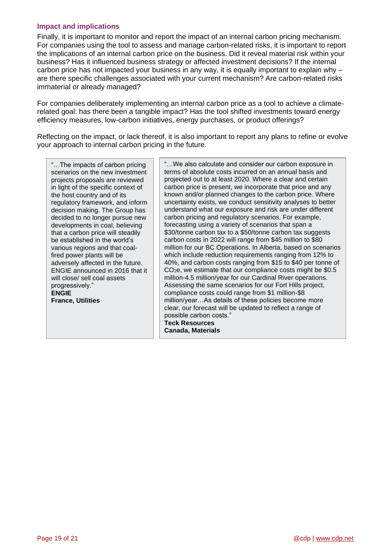### <span id="page-18-0"></span>**Impact and implications**

Finally, it is important to monitor and report the impact of an internal carbon pricing mechanism. For companies using the tool to assess and manage carbon-related risks, it is important to report the implications of an internal carbon price on the business. Did it reveal material risk within your business? Has it influenced business strategy or affected investment decisions? If the internal carbon price has not impacted your business in any way, it is equally important to explain why – are there specific challenges associated with your current mechanism? Are carbon-related risks immaterial or already managed?

For companies deliberately implementing an internal carbon price as a tool to achieve a climaterelated goal: has there been a tangible impact? Has the tool shifted investments toward energy efficiency measures, low-carbon initiatives, energy purchases, or product offerings?

Reflecting on the impact, or lack thereof, it is also important to report any plans to refine or evolve your approach to internal carbon pricing in the future.

"…The impacts of carbon pricing scenarios on the new investment projects proposals are reviewed in light of the specific context of the host country and of its regulatory framework, and inform decision making. The Group has decided to no longer pursue new developments in coal, believing that a carbon price will steadily be established in the world's various regions and that coalfired power plants will be adversely affected in the future. ENGIE announced in 2016 that it will close/ sell coal assets progressively." **ENGIE France, Utilities**

"…We also calculate and consider our carbon exposure in terms of absolute costs incurred on an annual basis and projected out to at least 2020. Where a clear and certain carbon price is present, we incorporate that price and any known and/or planned changes to the carbon price. Where uncertainty exists, we conduct sensitivity analyses to better understand what our exposure and risk are under different carbon pricing and regulatory scenarios. For example, forecasting using a variety of scenarios that span a \$30/tonne carbon tax to a \$50/tonne carbon tax suggests carbon costs in 2022 will range from \$45 million to \$80 million for our BC Operations. In Alberta, based on scenarios which include reduction requirements ranging from 12% to 40%, and carbon costs ranging from \$15 to \$40 per tonne of CO2e, we estimate that our compliance costs might be \$0.5 million-4.5 million/year for our Cardinal River operations. Assessing the same scenarios for our Fort Hills project, compliance costs could range from \$1 million-\$8 million/year…As details of these policies become more clear, our forecast will be updated to reflect a range of possible carbon costs." **Teck Resources Canada, Materials**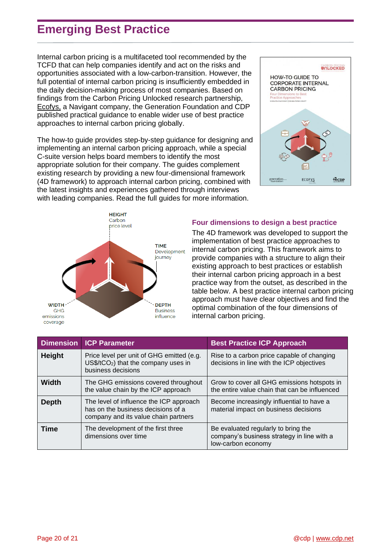# <span id="page-19-0"></span>**Emerging Best Practice**

Internal carbon pricing is a multifaceted tool recommended by the TCFD that can help companies identify and act on the risks and opportunities associated with a low-carbon-transition. However, the full potential of internal carbon pricing is insufficiently embedded in the daily decision-making process of most companies. Based on findings from the Carbon Pricing Unlocked research partnership, [Ecofys,](https://www.ecofys.com/en/expertise/design-effective-carbon-pricing) a Navigant company, the Generation Foundation and CDP published practical guidance to enable wider use of best practice approaches to internal carbon pricing globally.

The how-to guide provides step-by-step guidance for designing and implementing an internal carbon pricing approach, while a special C-suite version helps board members to identify the most appropriate solution for their company. The guides complement existing research by providing a new four-dimensional framework (4D framework) to approach internal carbon pricing, combined with the latest insights and experiences gathered through interviews with leading companies. Read the full guides for more information.





#### <span id="page-19-1"></span>**Four dimensions to design a best practice**

The 4D framework was developed to support the implementation of best practice approaches to internal carbon pricing. This framework aims to provide companies with a structure to align their existing approach to best practices or establish their internal carbon pricing approach in a best practice way from the outset, as described in the table below. A best practice internal carbon pricing approach must have clear objectives and find the optimal combination of the four dimensions of internal carbon pricing.

|               | <b>Dimension ICP Parameter</b>                                                                                        | <b>Best Practice ICP Approach</b>                                                                       |
|---------------|-----------------------------------------------------------------------------------------------------------------------|---------------------------------------------------------------------------------------------------------|
| <b>Height</b> | Price level per unit of GHG emitted (e.g.<br>$US$/tCO2$ ) that the company uses in<br>business decisions              | Rise to a carbon price capable of changing<br>decisions in line with the ICP objectives                 |
| Width         | The GHG emissions covered throughout<br>the value chain by the ICP approach                                           | Grow to cover all GHG emissions hotspots in<br>the entire value chain that can be influenced            |
| <b>Depth</b>  | The level of influence the ICP approach<br>has on the business decisions of a<br>company and its value chain partners | Become increasingly influential to have a<br>material impact on business decisions                      |
| <b>Time</b>   | The development of the first three<br>dimensions over time                                                            | Be evaluated regularly to bring the<br>company's business strategy in line with a<br>low-carbon economy |